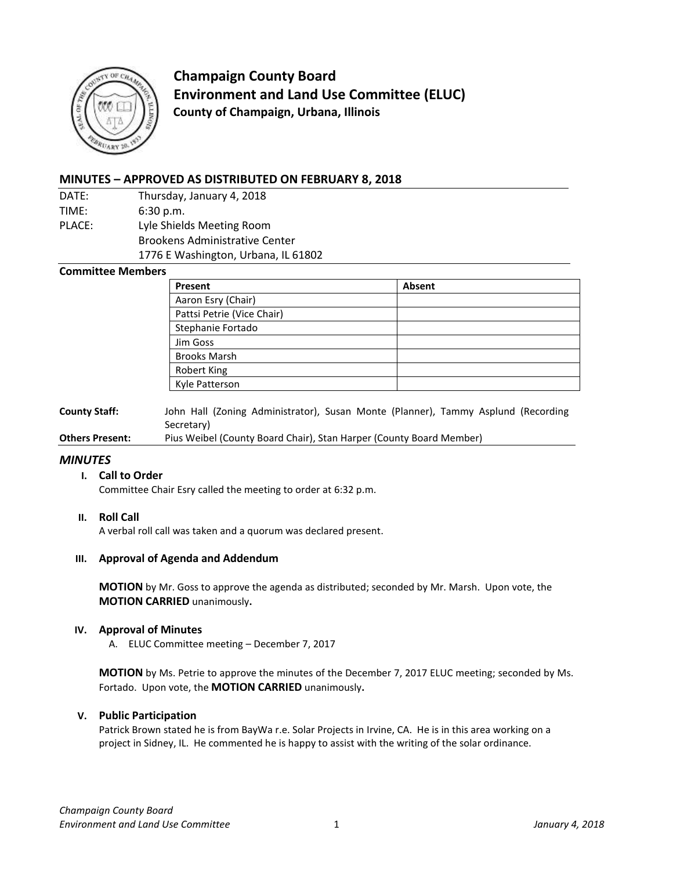

**Champaign County Board Environment and Land Use Committee (ELUC) County of Champaign, Urbana, Illinois**

# **MINUTES – APPROVED AS DISTRIBUTED ON FEBRUARY 8, 2018**

- DATE: Thursday, January 4, 2018 TIME: 6:30 p.m. PLACE: Lyle Shields Meeting Room
	- Brookens Administrative Center
		- 1776 E Washington, Urbana, IL 61802

### **Committee Members**

| Present                    | Absent |
|----------------------------|--------|
| Aaron Esry (Chair)         |        |
| Pattsi Petrie (Vice Chair) |        |
| Stephanie Fortado          |        |
| Jim Goss                   |        |
| <b>Brooks Marsh</b>        |        |
| <b>Robert King</b>         |        |
| Kyle Patterson             |        |

**County Staff:** John Hall (Zoning Administrator), Susan Monte (Planner), Tammy Asplund (Recording Secretary)

**Others Present:** Pius Weibel (County Board Chair), Stan Harper (County Board Member)

### *MINUTES*

### **I. Call to Order**

Committee Chair Esry called the meeting to order at 6:32 p.m.

### **II. Roll Call**

A verbal roll call was taken and a quorum was declared present.

### **III. Approval of Agenda and Addendum**

**MOTION** by Mr. Goss to approve the agenda as distributed; seconded by Mr. Marsh. Upon vote, the **MOTION CARRIED** unanimously**.**

#### **IV. Approval of Minutes**

A. ELUC Committee meeting – December 7, 2017

**MOTION** by Ms. Petrie to approve the minutes of the December 7, 2017 ELUC meeting; seconded by Ms. Fortado. Upon vote, the **MOTION CARRIED** unanimously**.**

#### **V. Public Participation**

Patrick Brown stated he is from BayWa r.e. Solar Projects in Irvine, CA. He is in this area working on a project in Sidney, IL. He commented he is happy to assist with the writing of the solar ordinance.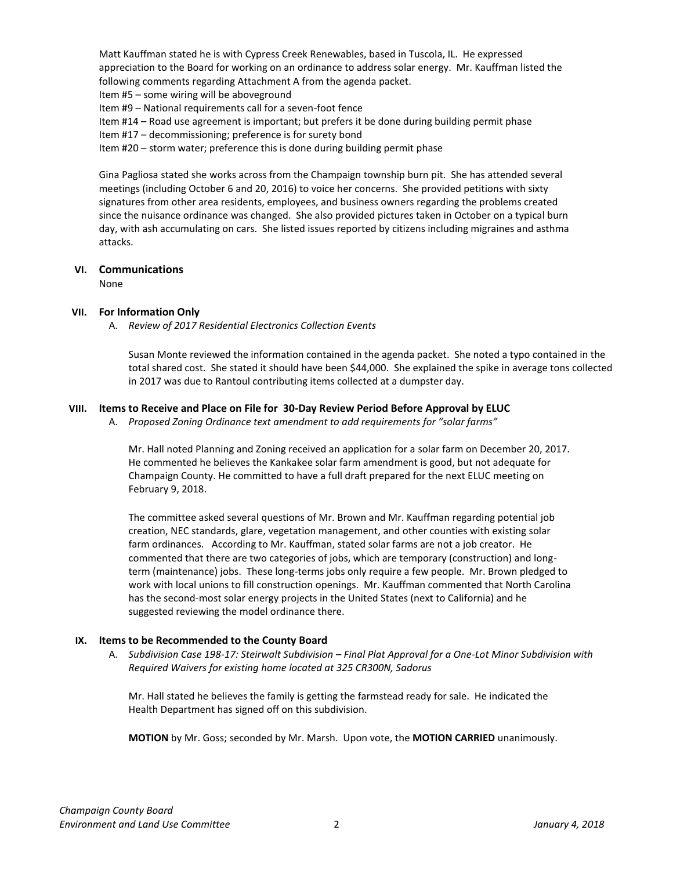Matt Kauffman stated he is with Cypress Creek Renewables, based in Tuscola, IL. He expressed appreciation to the Board for working on an ordinance to address solar energy. Mr. Kauffman listed the following comments regarding Attachment A from the agenda packet.

Item #5 – some wiring will be aboveground

Item #9 – National requirements call for a seven-foot fence

Item #14 – Road use agreement is important; but prefers it be done during building permit phase

Item #17 – decommissioning; preference is for surety bond

Item #20 – storm water; preference this is done during building permit phase

Gina Pagliosa stated she works across from the Champaign township burn pit. She has attended several meetings (including October 6 and 20, 2016) to voice her concerns. She provided petitions with sixty signatures from other area residents, employees, and business owners regarding the problems created since the nuisance ordinance was changed. She also provided pictures taken in October on a typical burn day, with ash accumulating on cars. She listed issues reported by citizens including migraines and asthma attacks.

### **VI. Communications**

None

### **VII. For Information Only**

A. *Review of 2017 Residential Electronics Collection Events*

Susan Monte reviewed the information contained in the agenda packet. She noted a typo contained in the total shared cost. She stated it should have been \$44,000. She explained the spike in average tons collected in 2017 was due to Rantoul contributing items collected at a dumpster day.

# **VIII. Items to Receive and Place on File for 30-Day Review Period Before Approval by ELUC**

A. *Proposed Zoning Ordinance text amendment to add requirements for "solar farms"*

Mr. Hall noted Planning and Zoning received an application for a solar farm on December 20, 2017. He commented he believes the Kankakee solar farm amendment is good, but not adequate for Champaign County. He committed to have a full draft prepared for the next ELUC meeting on February 9, 2018.

The committee asked several questions of Mr. Brown and Mr. Kauffman regarding potential job creation, NEC standards, glare, vegetation management, and other counties with existing solar farm ordinances. According to Mr. Kauffman, stated solar farms are not a job creator. He commented that there are two categories of jobs, which are temporary (construction) and longterm (maintenance) jobs. These long-terms jobs only require a few people. Mr. Brown pledged to work with local unions to fill construction openings. Mr. Kauffman commented that North Carolina has the second-most solar energy projects in the United States (next to California) and he suggested reviewing the model ordinance there.

### **IX. Items to be Recommended to the County Board**

A. *Subdivision Case 198-17: Steirwalt Subdivision – Final Plat Approval for a One-Lot Minor Subdivision with Required Waivers for existing home located at 325 CR300N, Sadorus*

Mr. Hall stated he believes the family is getting the farmstead ready for sale. He indicated the Health Department has signed off on this subdivision.

**MOTION** by Mr. Goss; seconded by Mr. Marsh. Upon vote, the **MOTION CARRIED** unanimously.